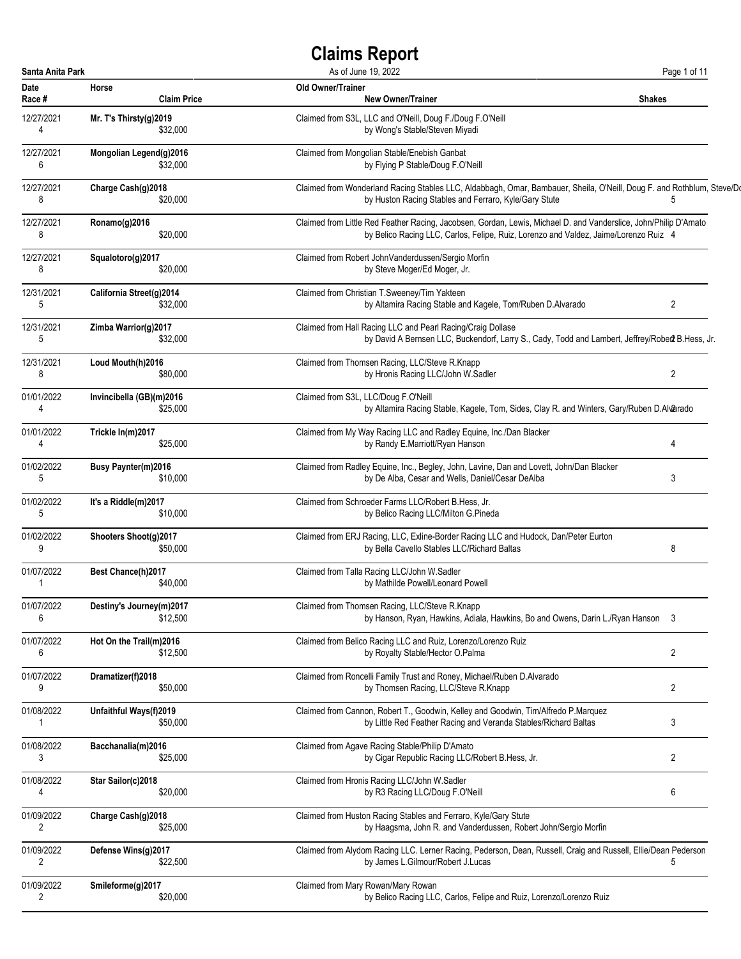| Santa Anita Park |                                | As of June 19, 2022                                                                                                    | Page 1 of 11   |
|------------------|--------------------------------|------------------------------------------------------------------------------------------------------------------------|----------------|
| <b>Date</b>      | Horse                          | <b>Old Owner/Trainer</b>                                                                                               | <b>Shakes</b>  |
| Race #           | <b>Claim Price</b>             | <b>New Owner/Trainer</b>                                                                                               |                |
| 12/27/2021       | Mr. T's Thirsty $(g)$ 2019     | Claimed from S3L, LLC and O'Neill, Doug F./Doug F.O'Neill                                                              |                |
| 4                | \$32,000                       | by Wong's Stable/Steven Miyadi                                                                                         |                |
| 12/27/2021       | Mongolian Legend(g)2016        | Claimed from Mongolian Stable/Enebish Ganbat                                                                           |                |
| 6                | \$32,000                       | by Flying P Stable/Doug F.O'Neill                                                                                      |                |
| 12/27/2021       | Charge Cash(g)2018             | Claimed from Wonderland Racing Stables LLC, Aldabbagh, Omar, Bambauer, Sheila, O'Neill, Doug F. and Rothblum, Steve/Do | 5              |
| 8                | \$20,000                       | by Huston Racing Stables and Ferraro, Kyle/Gary Stute                                                                  |                |
| 12/27/2021       | Ronamo(g)2016                  | Claimed from Little Red Feather Racing, Jacobsen, Gordan, Lewis, Michael D. and Vanderslice, John/Philip D'Amato       |                |
| 8                | \$20,000                       | by Belico Racing LLC, Carlos, Felipe, Ruiz, Lorenzo and Valdez, Jaime/Lorenzo Ruiz 4                                   |                |
| 12/27/2021       | Squalotoro(g)2017              | Claimed from Robert JohnVanderdussen/Sergio Morfin                                                                     |                |
| 8                | \$20,000                       | by Steve Moger/Ed Moger, Jr.                                                                                           |                |
| 12/31/2021       | California Street(g)2014       | Claimed from Christian T.Sweeney/Tim Yakteen                                                                           | 2              |
| 5                | \$32,000                       | by Altamira Racing Stable and Kagele, Tom/Ruben D.Alvarado                                                             |                |
| 12/31/2021       | Zimba Warrior(g)2017           | Claimed from Hall Racing LLC and Pearl Racing/Craig Dollase                                                            |                |
| 5                | \$32,000                       | by David A Bernsen LLC, Buckendorf, Larry S., Cady, Todd and Lambert, Jeffrey/Rober B. Hess, Jr.                       |                |
| 12/31/2021       | Loud Mouth(h)2016              | Claimed from Thomsen Racing, LLC/Steve R.Knapp                                                                         | $\overline{2}$ |
| 8                | \$80,000                       | by Hronis Racing LLC/John W.Sadler                                                                                     |                |
| 01/01/2022       | Invincibella (GB)(m)2016       | Claimed from S3L, LLC/Doug F.O'Neill                                                                                   |                |
| 4                | \$25,000                       | by Altamira Racing Stable, Kagele, Tom, Sides, Clay R. and Winters, Gary/Ruben D.Alvarado                              |                |
| 01/01/2022       | Trickle In(m)2017              | Claimed from My Way Racing LLC and Radley Equine, Inc./Dan Blacker                                                     | 4              |
| 4                | \$25,000                       | by Randy E.Marriott/Ryan Hanson                                                                                        |                |
| 01/02/2022       | <b>Busy Paynter(m)2016</b>     | Claimed from Radley Equine, Inc., Begley, John, Lavine, Dan and Lovett, John/Dan Blacker                               | 3              |
| 5                | \$10,000                       | by De Alba, Cesar and Wells, Daniel/Cesar DeAlba                                                                       |                |
| 01/02/2022       | It's a Riddle(m)2017           | Claimed from Schroeder Farms LLC/Robert B.Hess, Jr.                                                                    |                |
| 5                | \$10,000                       | by Belico Racing LLC/Milton G.Pineda                                                                                   |                |
| 01/02/2022       | Shooters Shoot(q)2017          | Claimed from ERJ Racing, LLC, Exline-Border Racing LLC and Hudock, Dan/Peter Eurton                                    | 8              |
| 9                | \$50,000                       | by Bella Cavello Stables LLC/Richard Baltas                                                                            |                |
| 01/07/2022       | Best Chance(h)2017<br>\$40,000 | Claimed from Talla Racing LLC/John W.Sadler<br>by Mathilde Powell/Leonard Powell                                       |                |
| 01/07/2022       | Destiny's Journey(m)2017       | Claimed from Thomsen Racing, LLC/Steve R.Knapp                                                                         |                |
| 6                | \$12,500                       | by Hanson, Ryan, Hawkins, Adiala, Hawkins, Bo and Owens, Darin L./Ryan Hanson 3                                        |                |
| 01/07/2022       | Hot On the Trail(m)2016        | Claimed from Belico Racing LLC and Ruiz, Lorenzo/Lorenzo Ruiz                                                          | $\overline{2}$ |
| 6                | \$12,500                       | by Royalty Stable/Hector O.Palma                                                                                       |                |
| 01/07/2022       | Dramatizer(f)2018              | Claimed from Roncelli Family Trust and Roney, Michael/Ruben D.Alvarado                                                 | $\overline{2}$ |
| 9                | \$50,000                       | by Thomsen Racing, LLC/Steve R.Knapp                                                                                   |                |
| 01/08/2022       | Unfaithful Ways(f)2019         | Claimed from Cannon, Robert T., Goodwin, Kelley and Goodwin, Tim/Alfredo P.Marquez                                     | 3              |
| 1                | \$50,000                       | by Little Red Feather Racing and Veranda Stables/Richard Baltas                                                        |                |
| 01/08/2022       | Bacchanalia(m)2016             | Claimed from Agave Racing Stable/Philip D'Amato                                                                        | 2              |
| 3                | \$25,000                       | by Cigar Republic Racing LLC/Robert B.Hess, Jr.                                                                        |                |
| 01/08/2022       | Star Sailor(c)2018             | Claimed from Hronis Racing LLC/John W.Sadler                                                                           | 6              |
| 4                | \$20,000                       | by R3 Racing LLC/Doug F.O'Neill                                                                                        |                |
| 01/09/2022       | Charge Cash(g)2018             | Claimed from Huston Racing Stables and Ferraro, Kyle/Gary Stute                                                        |                |
| 2                | \$25,000                       | by Haagsma, John R. and Vanderdussen, Robert John/Sergio Morfin                                                        |                |
| 01/09/2022       | Defense Wins(g)2017            | Claimed from Alydom Racing LLC. Lerner Racing, Pederson, Dean, Russell, Craig and Russell, Ellie/Dean Pederson         | 5              |
| $\overline{2}$   | \$22,500                       | by James L.Gilmour/Robert J.Lucas                                                                                      |                |
| 01/09/2022       | Smileforme(g)2017              | Claimed from Mary Rowan/Mary Rowan                                                                                     |                |
| 2                | \$20,000                       | by Belico Racing LLC, Carlos, Felipe and Ruiz, Lorenzo/Lorenzo Ruiz                                                    |                |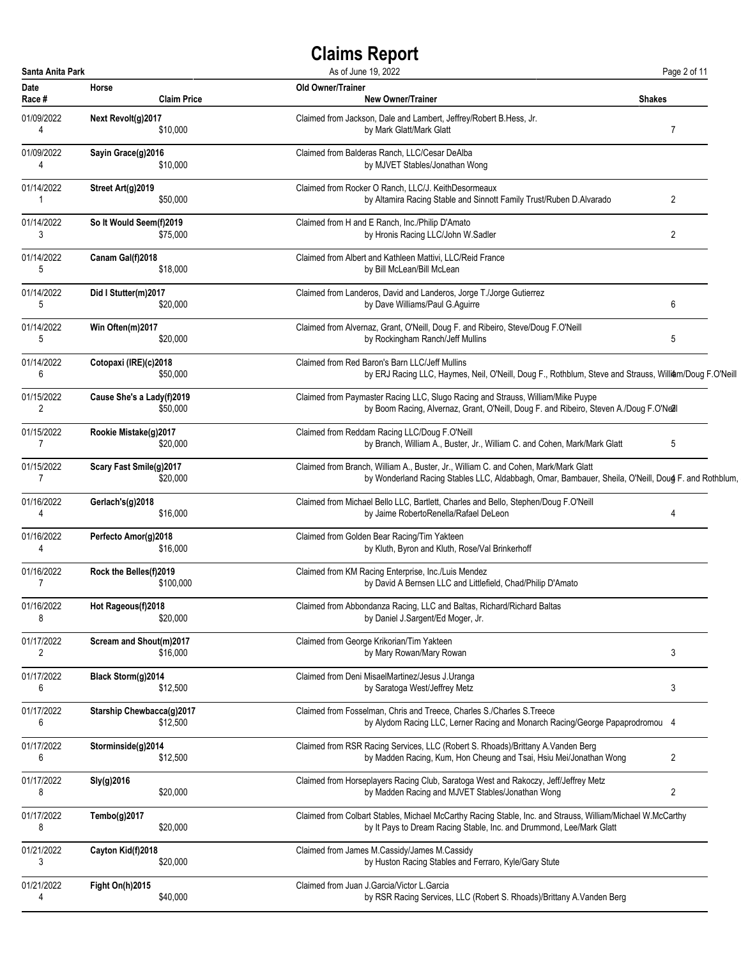| Santa Anita Park |                                  | As of June 19, 2022                                                                                        | Page 2 of 11   |
|------------------|----------------------------------|------------------------------------------------------------------------------------------------------------|----------------|
| <b>Date</b>      | Horse                            | <b>Old Owner/Trainer</b>                                                                                   | <b>Shakes</b>  |
| Race #           | <b>Claim Price</b>               | <b>New Owner/Trainer</b>                                                                                   |                |
| 01/09/2022       | Next Revolt(g)2017               | Claimed from Jackson, Dale and Lambert, Jeffrey/Robert B.Hess, Jr.                                         | $\overline{7}$ |
| 4                | \$10,000                         | by Mark Glatt/Mark Glatt                                                                                   |                |
| 01/09/2022       | Sayin Grace(g)2016               | Claimed from Balderas Ranch, LLC/Cesar DeAlba                                                              |                |
| 4                | \$10,000                         | by MJVET Stables/Jonathan Wong                                                                             |                |
| 01/14/2022       | Street Art(g)2019                | Claimed from Rocker O Ranch, LLC/J. KeithDesormeaux                                                        | 2              |
| -1               | \$50,000                         | by Altamira Racing Stable and Sinnott Family Trust/Ruben D.Alvarado                                        |                |
| 01/14/2022       | So It Would Seem(f)2019          | Claimed from H and E Ranch, Inc./Philip D'Amato                                                            | 2              |
| 3                | \$75,000                         | by Hronis Racing LLC/John W.Sadler                                                                         |                |
| 01/14/2022       | Canam Gal(f)2018                 | Claimed from Albert and Kathleen Mattivi, LLC/Reid France                                                  |                |
| 5                | \$18,000                         | by Bill McLean/Bill McLean                                                                                 |                |
| 01/14/2022       | Did I Stutter(m)2017             | Claimed from Landeros, David and Landeros, Jorge T./Jorge Gutierrez                                        | 6              |
| 5                | \$20,000                         | by Dave Williams/Paul G.Aguirre                                                                            |                |
| 01/14/2022       | Win Often(m)2017                 | Claimed from Alvernaz, Grant, O'Neill, Doug F. and Ribeiro, Steve/Doug F.O'Neill                           | 5              |
| 5                | \$20,000                         | by Rockingham Ranch/Jeff Mullins                                                                           |                |
| 01/14/2022       | Cotopaxi (IRE)(c)2018            | Claimed from Red Baron's Barn LLC/Jeff Mullins                                                             |                |
| 6                | \$50,000                         | by ERJ Racing LLC, Haymes, Neil, O'Neill, Doug F., Rothblum, Steve and Strauss, William/Doug F.O'Neill     |                |
| 01/15/2022       | Cause She's a Lady(f)2019        | Claimed from Paymaster Racing LLC, Slugo Racing and Strauss, William/Mike Puype                            |                |
| 2                | \$50,000                         | by Boom Racing, Alvernaz, Grant, O'Neill, Doug F. and Ribeiro, Steven A./Doug F.O'Nell                     |                |
| 01/15/2022       | Rookie Mistake(g)2017            | Claimed from Reddam Racing LLC/Doug F.O'Neill                                                              | 5              |
| 7                | \$20,000                         | by Branch, William A., Buster, Jr., William C. and Cohen, Mark/Mark Glatt                                  |                |
| 01/15/2022       | Scary Fast Smile(g)2017          | Claimed from Branch, William A., Buster, Jr., William C. and Cohen, Mark/Mark Glatt                        |                |
| 7                | \$20,000                         | by Wonderland Racing Stables LLC, Aldabbagh, Omar, Bambauer, Sheila, O'Neill, Doug F. and Rothblum,        |                |
| 01/16/2022       | Gerlach's(g)2018                 | Claimed from Michael Bello LLC, Bartlett, Charles and Bello, Stephen/Doug F.O'Neill                        | 4              |
| 4                | \$16,000                         | by Jaime RobertoRenella/Rafael DeLeon                                                                      |                |
| 01/16/2022       | Perfecto Amor(g)2018             | Claimed from Golden Bear Racing/Tim Yakteen                                                                |                |
| 4                | \$16,000                         | by Kluth, Byron and Kluth, Rose/Val Brinkerhoff                                                            |                |
| 01/16/2022       | Rock the Belles(f)2019           | Claimed from KM Racing Enterprise, Inc./Luis Mendez                                                        |                |
| 7                | \$100,000                        | by David A Bernsen LLC and Littlefield, Chad/Philip D'Amato                                                |                |
| 01/16/2022       | Hot Rageous(f)2018               | Claimed from Abbondanza Racing, LLC and Baltas, Richard/Richard Baltas                                     |                |
| 8                | \$20,000                         | by Daniel J.Sargent/Ed Moger, Jr.                                                                          |                |
| 01/17/2022       | Scream and Shout(m)2017          | Claimed from George Krikorian/Tim Yakteen                                                                  | 3              |
| 2                | \$16,000                         | by Mary Rowan/Mary Rowan                                                                                   |                |
| 01/17/2022       | Black Storm(g)2014               | Claimed from Deni MisaelMartinez/Jesus J.Uranga                                                            | 3              |
| 6                | \$12,500                         | by Saratoga West/Jeffrey Metz                                                                              |                |
| 01/17/2022       | <b>Starship Chewbacca(g)2017</b> | Claimed from Fosselman, Chris and Treece, Charles S./Charles S.Treece                                      |                |
| 6                | \$12,500                         | by Alydom Racing LLC, Lerner Racing and Monarch Racing/George Papaprodromou 4                              |                |
| 01/17/2022       | Storminside(g)2014               | Claimed from RSR Racing Services, LLC (Robert S. Rhoads)/Brittany A. Vanden Berg                           | 2              |
| 6                | \$12,500                         | by Madden Racing, Kum, Hon Cheung and Tsai, Hsiu Mei/Jonathan Wong                                         |                |
| 01/17/2022       | Sly(g)2016                       | Claimed from Horseplayers Racing Club, Saratoga West and Rakoczy, Jeff/Jeffrey Metz                        | 2              |
| 8                | \$20,000                         | by Madden Racing and MJVET Stables/Jonathan Wong                                                           |                |
| 01/17/2022       | Tembo(g)2017                     | Claimed from Colbart Stables, Michael McCarthy Racing Stable, Inc. and Strauss, William/Michael W.McCarthy |                |
| 8                | \$20,000                         | by It Pays to Dream Racing Stable, Inc. and Drummond, Lee/Mark Glatt                                       |                |
| 01/21/2022       | Cayton Kid(f)2018                | Claimed from James M.Cassidy/James M.Cassidy                                                               |                |
| 3                | \$20,000                         | by Huston Racing Stables and Ferraro, Kyle/Gary Stute                                                      |                |
| 01/21/2022       | Fight On(h)2015                  | Claimed from Juan J.Garcia/Victor L.Garcia                                                                 |                |
| 4                | \$40,000                         | by RSR Racing Services, LLC (Robert S. Rhoads)/Brittany A. Vanden Berg                                     |                |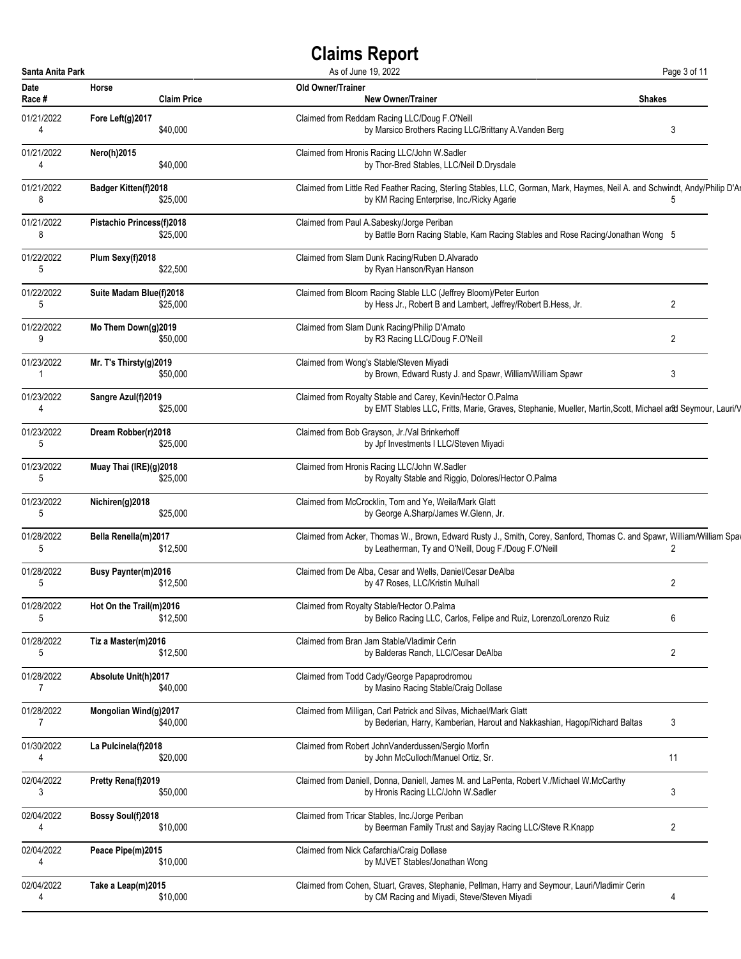| Santa Anita Park |                             | As of June 19, 2022                                                                                                         | Page 3 of 11  |
|------------------|-----------------------------|-----------------------------------------------------------------------------------------------------------------------------|---------------|
| Date             | Horse                       | <b>Old Owner/Trainer</b>                                                                                                    | <b>Shakes</b> |
| Race #           | <b>Claim Price</b>          | <b>New Owner/Trainer</b>                                                                                                    |               |
| 01/21/2022       | Fore Left(g)2017            | Claimed from Reddam Racing LLC/Doug F.O'Neill                                                                               | 3             |
| 4                | \$40,000                    | by Marsico Brothers Racing LLC/Brittany A. Vanden Berg                                                                      |               |
| 01/21/2022       | Nero(h)2015                 | Claimed from Hronis Racing LLC/John W.Sadler                                                                                |               |
| 4                | \$40,000                    | by Thor-Bred Stables, LLC/Neil D.Drysdale                                                                                   |               |
| 01/21/2022       | <b>Badger Kitten(f)2018</b> | Claimed from Little Red Feather Racing, Sterling Stables, LLC, Gorman, Mark, Haymes, Neil A. and Schwindt, Andy/Philip D'Al | 5             |
| 8                | \$25,000                    | by KM Racing Enterprise, Inc./Ricky Agarie                                                                                  |               |
| 01/21/2022       | Pistachio Princess(f)2018   | Claimed from Paul A.Sabesky/Jorge Periban                                                                                   |               |
| 8                | \$25,000                    | by Battle Born Racing Stable, Kam Racing Stables and Rose Racing/Jonathan Wong 5                                            |               |
| 01/22/2022       | Plum Sexy(f)2018            | Claimed from Slam Dunk Racing/Ruben D.Alvarado                                                                              |               |
| 5                | \$22,500                    | by Ryan Hanson/Ryan Hanson                                                                                                  |               |
| 01/22/2022       | Suite Madam Blue(f)2018     | Claimed from Bloom Racing Stable LLC (Jeffrey Bloom)/Peter Eurton                                                           | 2             |
| 5                | \$25,000                    | by Hess Jr., Robert B and Lambert, Jeffrey/Robert B.Hess, Jr.                                                               |               |
| 01/22/2022       | Mo Them Down(g)2019         | Claimed from Slam Dunk Racing/Philip D'Amato                                                                                | 2             |
| 9                | \$50,000                    | by R3 Racing LLC/Doug F.O'Neill                                                                                             |               |
| 01/23/2022       | Mr. T's Thirsty(g)2019      | Claimed from Wong's Stable/Steven Miyadi                                                                                    | 3             |
| 1                | \$50,000                    | by Brown, Edward Rusty J. and Spawr, William/William Spawr                                                                  |               |
| 01/23/2022       | Sangre Azul(f)2019          | Claimed from Royalty Stable and Carey, Kevin/Hector O.Palma                                                                 |               |
| 4                | \$25,000                    | by EMT Stables LLC, Fritts, Marie, Graves, Stephanie, Mueller, Martin, Scott, Michael and Seymour, Lauri/V                  |               |
| 01/23/2022       | Dream Robber(r)2018         | Claimed from Bob Grayson, Jr./Val Brinkerhoff                                                                               |               |
| 5                | \$25,000                    | by Jpf Investments I LLC/Steven Miyadi                                                                                      |               |
| 01/23/2022       | Muay Thai (IRE)(g)2018      | Claimed from Hronis Racing LLC/John W.Sadler                                                                                |               |
| 5                | \$25,000                    | by Royalty Stable and Riggio, Dolores/Hector O.Palma                                                                        |               |
| 01/23/2022       | Nichiren(g)2018             | Claimed from McCrocklin, Tom and Ye, Weila/Mark Glatt                                                                       |               |
| 5                | \$25,000                    | by George A.Sharp/James W.Glenn, Jr.                                                                                        |               |
| 01/28/2022       | Bella Renella(m)2017        | Claimed from Acker, Thomas W., Brown, Edward Rusty J., Smith, Corey, Sanford, Thomas C. and Spawr, William/William Spa      | 2             |
| 5                | \$12,500                    | by Leatherman, Ty and O'Neill, Doug F./Doug F.O'Neill                                                                       |               |
| 01/28/2022       | Busy Paynter(m)2016         | Claimed from De Alba, Cesar and Wells, Daniel/Cesar DeAlba                                                                  | 2             |
| 5                | \$12,500                    | by 47 Roses, LLC/Kristin Mulhall                                                                                            |               |
| 01/28/2022       | Hot On the Trail(m)2016     | Claimed from Royalty Stable/Hector O.Palma                                                                                  | 6             |
| 5                | \$12,500                    | by Belico Racing LLC, Carlos, Felipe and Ruiz, Lorenzo/Lorenzo Ruiz                                                         |               |
| 01/28/2022       | Tiz a Master(m)2016         | Claimed from Bran Jam Stable/Vladimir Cerin                                                                                 | 2             |
| 5                | \$12,500                    | by Balderas Ranch, LLC/Cesar DeAlba                                                                                         |               |
| 01/28/2022       | Absolute Unit(h)2017        | Claimed from Todd Cady/George Papaprodromou                                                                                 |               |
| 7                | \$40,000                    | by Masino Racing Stable/Craig Dollase                                                                                       |               |
| 01/28/2022       | Mongolian Wind(g)2017       | Claimed from Milligan, Carl Patrick and Silvas, Michael/Mark Glatt                                                          | 3             |
| 7                | \$40,000                    | by Bederian, Harry, Kamberian, Harout and Nakkashian, Hagop/Richard Baltas                                                  |               |
| 01/30/2022       | La Pulcinela(f)2018         | Claimed from Robert JohnVanderdussen/Sergio Morfin                                                                          | 11            |
| 4                | \$20,000                    | by John McCulloch/Manuel Ortiz, Sr.                                                                                         |               |
| 02/04/2022       | Pretty Rena(f)2019          | Claimed from Daniell, Donna, Daniell, James M. and LaPenta, Robert V./Michael W.McCarthy                                    | 3             |
| 3                | \$50,000                    | by Hronis Racing LLC/John W.Sadler                                                                                          |               |
| 02/04/2022       | Bossy Soul(f)2018           | Claimed from Tricar Stables, Inc./Jorge Periban                                                                             | 2             |
| 4                | \$10,000                    | by Beerman Family Trust and Sayjay Racing LLC/Steve R.Knapp                                                                 |               |
| 02/04/2022       | Peace Pipe(m)2015           | Claimed from Nick Cafarchia/Craig Dollase                                                                                   |               |
| 4                | \$10,000                    | by MJVET Stables/Jonathan Wong                                                                                              |               |
| 02/04/2022       | Take a Leap(m)2015          | Claimed from Cohen, Stuart, Graves, Stephanie, Pellman, Harry and Seymour, Lauri/Vladimir Cerin                             | 4             |
| 4                | \$10,000                    | by CM Racing and Miyadi, Steve/Steven Miyadi                                                                                |               |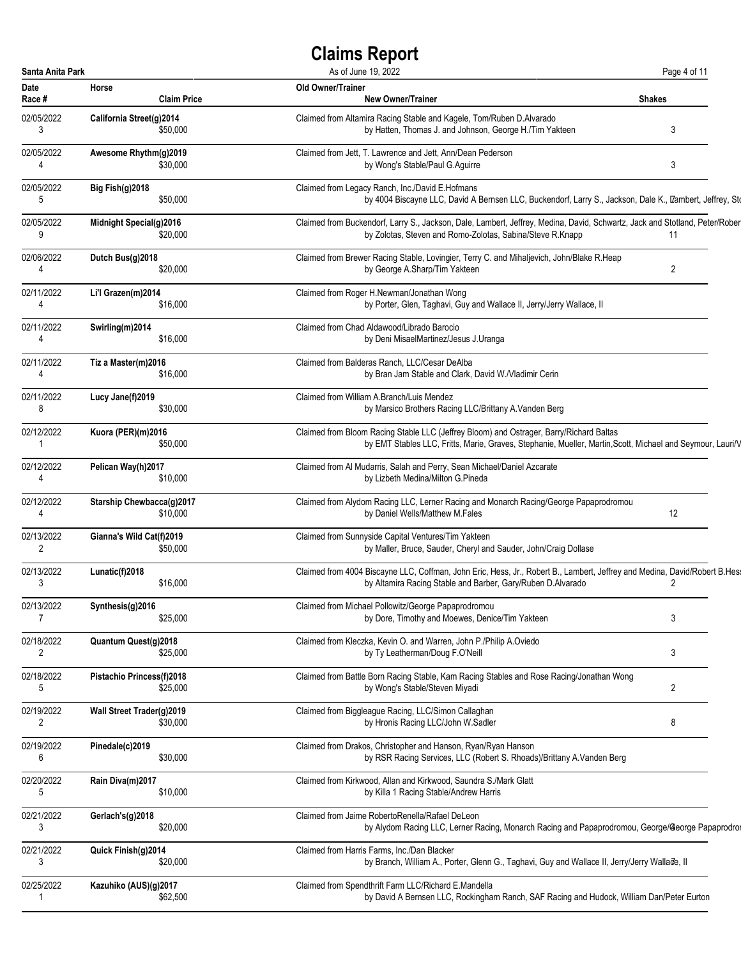| Santa Anita Park |                           |                    | As of June 19, 2022                                                                                                                                                                                   | Page 4 of 11   |
|------------------|---------------------------|--------------------|-------------------------------------------------------------------------------------------------------------------------------------------------------------------------------------------------------|----------------|
| Date<br>Race #   | Horse                     | <b>Claim Price</b> | <b>Old Owner/Trainer</b><br><b>New Owner/Trainer</b>                                                                                                                                                  | <b>Shakes</b>  |
| 02/05/2022<br>3  | California Street(g)2014  | \$50,000           | Claimed from Altamira Racing Stable and Kagele, Tom/Ruben D.Alvarado<br>by Hatten, Thomas J. and Johnson, George H./Tim Yakteen                                                                       | 3              |
| 02/05/2022<br>4  | Awesome Rhythm(q)2019     | \$30,000           | Claimed from Jett, T. Lawrence and Jett, Ann/Dean Pederson<br>by Wong's Stable/Paul G.Aguirre                                                                                                         | 3              |
| 02/05/2022<br>5  | Big Fish(g)2018           | \$50,000           | Claimed from Legacy Ranch, Inc./David E.Hofmans<br>by 4004 Biscayne LLC, David A Bernsen LLC, Buckendorf, Larry S., Jackson, Dale K., IZambert, Jeffrey, Sto                                          |                |
| 02/05/2022<br>9  | Midnight Special(g)2016   | \$20,000           | Claimed from Buckendorf, Larry S., Jackson, Dale, Lambert, Jeffrey, Medina, David, Schwartz, Jack and Stotland, Peter/Rober<br>by Zolotas, Steven and Romo-Zolotas, Sabina/Steve R.Knapp              | 11             |
| 02/06/2022<br>4  | Dutch Bus(g)2018          | \$20,000           | Claimed from Brewer Racing Stable, Lovingier, Terry C. and Mihaljevich, John/Blake R.Heap<br>by George A.Sharp/Tim Yakteen                                                                            | 2              |
| 02/11/2022<br>4  | Li'l Grazen(m)2014        | \$16,000           | Claimed from Roger H.Newman/Jonathan Wong<br>by Porter, Glen, Taghavi, Guy and Wallace II, Jerry/Jerry Wallace, II                                                                                    |                |
| 02/11/2022<br>4  | Swirling(m)2014           | \$16,000           | Claimed from Chad Aldawood/Librado Barocio<br>by Deni MisaelMartinez/Jesus J.Uranga                                                                                                                   |                |
| 02/11/2022<br>4  | Tiz a Master(m)2016       | \$16,000           | Claimed from Balderas Ranch, LLC/Cesar DeAlba<br>by Bran Jam Stable and Clark, David W./Vladimir Cerin                                                                                                |                |
| 02/11/2022<br>8  | Lucy Jane(f)2019          | \$30,000           | Claimed from William A.Branch/Luis Mendez<br>by Marsico Brothers Racing LLC/Brittany A. Vanden Berg                                                                                                   |                |
| 02/12/2022       | Kuora (PER)(m)2016        | \$50,000           | Claimed from Bloom Racing Stable LLC (Jeffrey Bloom) and Ostrager, Barry/Richard Baltas<br>by EMT Stables LLC, Fritts, Marie, Graves, Stephanie, Mueller, Martin, Scott, Michael and Seymour, Lauri/V |                |
| 02/12/2022<br>4  | Pelican Way(h)2017        | \$10,000           | Claimed from Al Mudarris, Salah and Perry, Sean Michael/Daniel Azcarate<br>by Lizbeth Medina/Milton G.Pineda                                                                                          |                |
| 02/12/2022<br>4  | Starship Chewbacca(g)2017 | \$10,000           | Claimed from Alydom Racing LLC, Lerner Racing and Monarch Racing/George Papaprodromou<br>by Daniel Wells/Matthew M.Fales                                                                              | 12             |
| 02/13/2022<br>2  | Gianna's Wild Cat(f)2019  | \$50,000           | Claimed from Sunnyside Capital Ventures/Tim Yakteen<br>by Maller, Bruce, Sauder, Cheryl and Sauder, John/Craig Dollase                                                                                |                |
| 02/13/2022<br>3  | Lunatic(f)2018            | \$16,000           | Claimed from 4004 Biscayne LLC, Coffman, John Eric, Hess, Jr., Robert B., Lambert, Jeffrey and Medina, David/Robert B.Hes<br>by Altamira Racing Stable and Barber, Gary/Ruben D.Alvarado              | 2              |
| 02/13/2022<br>7  | Synthesis(g)2016          | \$25,000           | Claimed from Michael Pollowitz/George Papaprodromou<br>by Dore, Timothy and Moewes, Denice/Tim Yakteen                                                                                                | $\mathbf{3}$   |
| 02/18/2022<br>2  | Quantum Quest(g)2018      | \$25,000           | Claimed from Kleczka, Kevin O. and Warren, John P./Philip A.Oviedo<br>by Ty Leatherman/Doug F.O'Neill                                                                                                 | 3              |
| 02/18/2022<br>5  | Pistachio Princess(f)2018 | \$25,000           | Claimed from Battle Born Racing Stable, Kam Racing Stables and Rose Racing/Jonathan Wong<br>by Wong's Stable/Steven Miyadi                                                                            | $\overline{2}$ |
| 02/19/2022<br>2  | Wall Street Trader(g)2019 | \$30,000           | Claimed from Biggleague Racing, LLC/Simon Callaghan<br>by Hronis Racing LLC/John W.Sadler                                                                                                             | 8              |
| 02/19/2022<br>6  | Pinedale(c)2019           | \$30,000           | Claimed from Drakos, Christopher and Hanson, Ryan/Ryan Hanson<br>by RSR Racing Services, LLC (Robert S. Rhoads)/Brittany A. Vanden Berg                                                               |                |
| 02/20/2022<br>5  | Rain Diva(m)2017          | \$10,000           | Claimed from Kirkwood, Allan and Kirkwood, Saundra S./Mark Glatt<br>by Killa 1 Racing Stable/Andrew Harris                                                                                            |                |
| 02/21/2022<br>3  | Gerlach's(g)2018          | \$20,000           | Claimed from Jaime RobertoRenella/Rafael DeLeon<br>by Alydom Racing LLC, Lerner Racing, Monarch Racing and Papaprodromou, George/George Papaprodro                                                    |                |
| 02/21/2022<br>3  | Quick Finish(g)2014       | \$20,000           | Claimed from Harris Farms, Inc./Dan Blacker<br>by Branch, William A., Porter, Glenn G., Taghavi, Guy and Wallace II, Jerry/Jerry Wallade, II                                                          |                |
| 02/25/2022<br>1  | Kazuhiko (AUS)(g)2017     | \$62,500           | Claimed from Spendthrift Farm LLC/Richard E.Mandella<br>by David A Bernsen LLC, Rockingham Ranch, SAF Racing and Hudock, William Dan/Peter Eurton                                                     |                |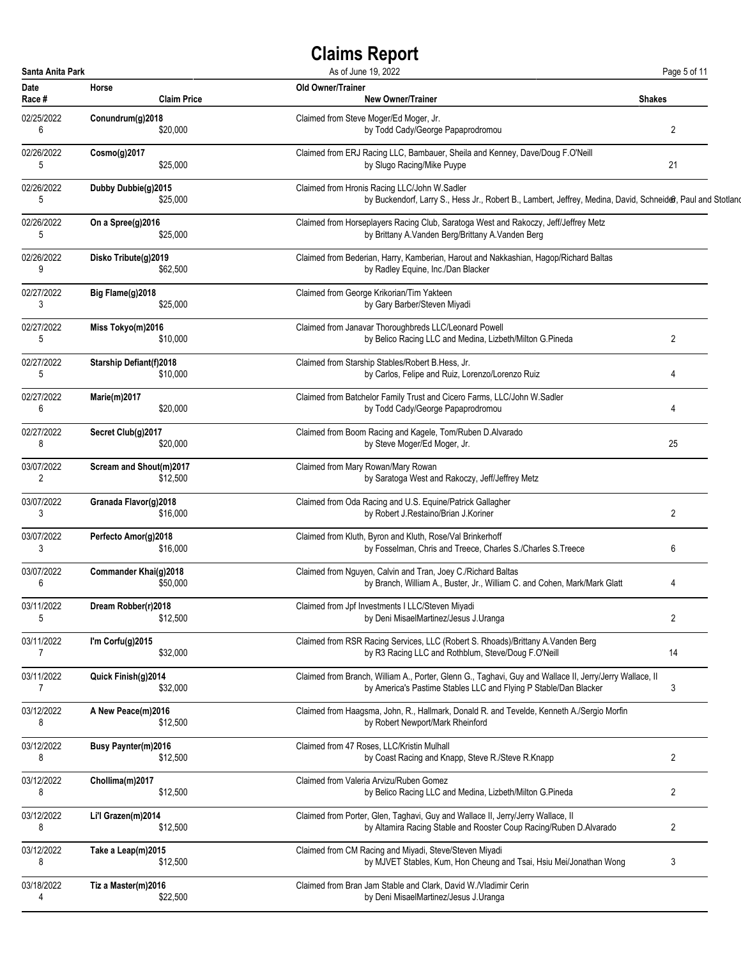| Santa Anita Park |                                | As of June 19, 2022                                                                                         | Page 5 of 11   |
|------------------|--------------------------------|-------------------------------------------------------------------------------------------------------------|----------------|
| <b>Date</b>      | Horse                          | <b>Old Owner/Trainer</b>                                                                                    | <b>Shakes</b>  |
| Race #           | <b>Claim Price</b>             | <b>New Owner/Trainer</b>                                                                                    |                |
| 02/25/2022       | Conundrum(g)2018               | Claimed from Steve Moger/Ed Moger, Jr.                                                                      | $\overline{c}$ |
| 6                | \$20,000                       | by Todd Cady/George Papaprodromou                                                                           |                |
| 02/26/2022       | Cosmo(g)2017                   | Claimed from ERJ Racing LLC, Bambauer, Sheila and Kenney, Dave/Doug F.O'Neill                               | 21             |
| 5                | \$25,000                       | by Slugo Racing/Mike Puype                                                                                  |                |
| 02/26/2022       | Dubby Dubbie(g)2015            | Claimed from Hronis Racing LLC/John W.Sadler                                                                |                |
| 5                | \$25,000                       | by Buckendorf, Larry S., Hess Jr., Robert B., Lambert, Jeffrey, Medina, David, Schneider, Paul and Stotland |                |
| 02/26/2022       | On a Spree(g)2016              | Claimed from Horseplayers Racing Club, Saratoga West and Rakoczy, Jeff/Jeffrey Metz                         |                |
| 5                | \$25,000                       | by Brittany A.Vanden Berg/Brittany A.Vanden Berg                                                            |                |
| 02/26/2022       | Disko Tribute(g)2019           | Claimed from Bederian, Harry, Kamberian, Harout and Nakkashian, Hagop/Richard Baltas                        |                |
| 9                | \$62,500                       | by Radley Equine, Inc./Dan Blacker                                                                          |                |
| 02/27/2022       | Big Flame(g)2018               | Claimed from George Krikorian/Tim Yakteen                                                                   |                |
| 3                | \$25,000                       | by Gary Barber/Steven Miyadi                                                                                |                |
| 02/27/2022       | Miss Tokyo(m)2016              | Claimed from Janavar Thoroughbreds LLC/Leonard Powell                                                       | 2              |
| 5                | \$10,000                       | by Belico Racing LLC and Medina, Lizbeth/Milton G.Pineda                                                    |                |
| 02/27/2022       | <b>Starship Defiant(f)2018</b> | Claimed from Starship Stables/Robert B.Hess, Jr.                                                            | 4              |
| 5                | \$10,000                       | by Carlos, Felipe and Ruiz, Lorenzo/Lorenzo Ruiz                                                            |                |
| 02/27/2022       | <b>Marie(m)2017</b>            | Claimed from Batchelor Family Trust and Cicero Farms, LLC/John W.Sadler                                     | 4              |
| 6                | \$20,000                       | by Todd Cady/George Papaprodromou                                                                           |                |
| 02/27/2022       | Secret Club(g)2017             | Claimed from Boom Racing and Kagele, Tom/Ruben D.Alvarado                                                   | 25             |
| 8                | \$20,000                       | by Steve Moger/Ed Moger, Jr.                                                                                |                |
| 03/07/2022       | Scream and Shout(m)2017        | Claimed from Mary Rowan/Mary Rowan                                                                          |                |
| 2                | \$12,500                       | by Saratoga West and Rakoczy, Jeff/Jeffrey Metz                                                             |                |
| 03/07/2022       | Granada Flavor(g)2018          | Claimed from Oda Racing and U.S. Equine/Patrick Gallagher                                                   | 2              |
| 3                | \$16,000                       | by Robert J.Restaino/Brian J.Koriner                                                                        |                |
| 03/07/2022       | Perfecto Amor(g)2018           | Claimed from Kluth, Byron and Kluth, Rose/Val Brinkerhoff                                                   | 6              |
| 3                | \$16,000                       | by Fosselman, Chris and Treece, Charles S./Charles S.Treece                                                 |                |
| 03/07/2022       | Commander Khai(g)2018          | Claimed from Nguyen, Calvin and Tran, Joey C./Richard Baltas                                                | 4              |
| 6                | \$50,000                       | by Branch, William A., Buster, Jr., William C. and Cohen, Mark/Mark Glatt                                   |                |
| 03/11/2022       | Dream Robber(r)2018            | Claimed from Jpf Investments I LLC/Steven Miyadi                                                            | $\overline{c}$ |
| 5                | \$12,500                       | by Deni MisaelMartinez/Jesus J.Uranga                                                                       |                |
| 03/11/2022       | I'm Corfu(g)2015               | Claimed from RSR Racing Services, LLC (Robert S. Rhoads)/Brittany A. Vanden Berg                            | 14             |
| 7                | \$32,000                       | by R3 Racing LLC and Rothblum, Steve/Doug F.O'Neill                                                         |                |
| 03/11/2022       | Quick Finish(g)2014            | Claimed from Branch, William A., Porter, Glenn G., Taghavi, Guy and Wallace II, Jerry/Jerry Wallace, II     | 3              |
| $\overline{7}$   | \$32,000                       | by America's Pastime Stables LLC and Flying P Stable/Dan Blacker                                            |                |
| 03/12/2022       | A New Peace(m)2016             | Claimed from Haagsma, John, R., Hallmark, Donald R. and Tevelde, Kenneth A./Sergio Morfin                   |                |
| 8                | \$12,500                       | by Robert Newport/Mark Rheinford                                                                            |                |
| 03/12/2022       | <b>Busy Paynter(m)2016</b>     | Claimed from 47 Roses, LLC/Kristin Mulhall                                                                  | 2              |
| 8                | \$12,500                       | by Coast Racing and Knapp, Steve R./Steve R.Knapp                                                           |                |
| 03/12/2022       | Chollima(m)2017                | Claimed from Valeria Arvizu/Ruben Gomez                                                                     | 2              |
| 8                | \$12,500                       | by Belico Racing LLC and Medina, Lizbeth/Milton G.Pineda                                                    |                |
| 03/12/2022       | Li'l Grazen(m)2014             | Claimed from Porter, Glen, Taghavi, Guy and Wallace II, Jerry/Jerry Wallace, II                             | 2              |
| 8                | \$12,500                       | by Altamira Racing Stable and Rooster Coup Racing/Ruben D.Alvarado                                          |                |
| 03/12/2022       | Take a Leap(m)2015             | Claimed from CM Racing and Miyadi, Steve/Steven Miyadi                                                      | 3              |
| 8                | \$12,500                       | by MJVET Stables, Kum, Hon Cheung and Tsai, Hsiu Mei/Jonathan Wong                                          |                |
| 03/18/2022       | Tiz a Master(m)2016            | Claimed from Bran Jam Stable and Clark, David W. Nladimir Cerin                                             |                |
| 4                | \$22,500                       | by Deni MisaelMartinez/Jesus J.Uranga                                                                       |                |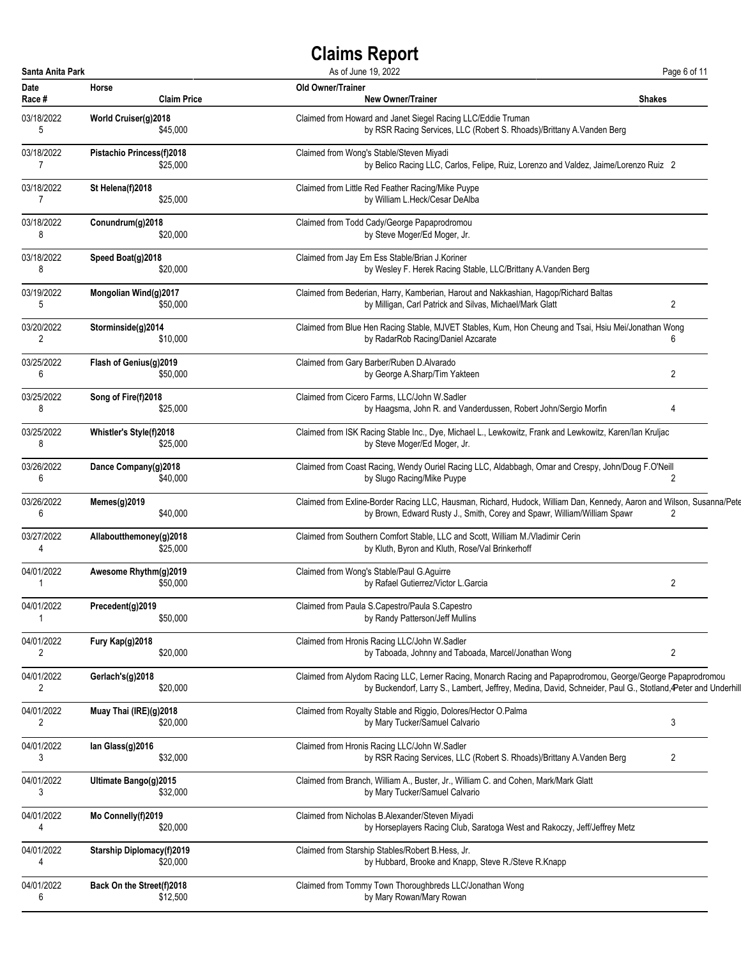| Santa Anita Park |                                  | As of June 19, 2022                                                                                                   | Page 6 of 11   |
|------------------|----------------------------------|-----------------------------------------------------------------------------------------------------------------------|----------------|
| <b>Date</b>      | Horse                            | Old Owner/Trainer                                                                                                     | <b>Shakes</b>  |
| Race #           | <b>Claim Price</b>               | <b>New Owner/Trainer</b>                                                                                              |                |
| 03/18/2022       | World Cruiser(g)2018             | Claimed from Howard and Janet Siegel Racing LLC/Eddie Truman                                                          |                |
| 5                | \$45,000                         | by RSR Racing Services, LLC (Robert S. Rhoads)/Brittany A. Vanden Berg                                                |                |
| 03/18/2022       | Pistachio Princess(f)2018        | Claimed from Wong's Stable/Steven Miyadi                                                                              |                |
| 7                | \$25,000                         | by Belico Racing LLC, Carlos, Felipe, Ruiz, Lorenzo and Valdez, Jaime/Lorenzo Ruiz 2                                  |                |
| 03/18/2022       | St Helena(f)2018                 | Claimed from Little Red Feather Racing/Mike Puype                                                                     |                |
| 7                | \$25,000                         | by William L.Heck/Cesar DeAlba                                                                                        |                |
| 03/18/2022       | Conundrum(g)2018                 | Claimed from Todd Cady/George Papaprodromou                                                                           |                |
| 8                | \$20,000                         | by Steve Moger/Ed Moger, Jr.                                                                                          |                |
| 03/18/2022       | Speed Boat(g)2018                | Claimed from Jay Em Ess Stable/Brian J.Koriner                                                                        |                |
| 8                | \$20,000                         | by Wesley F. Herek Racing Stable, LLC/Brittany A. Vanden Berg                                                         |                |
| 03/19/2022       | Mongolian Wind(g)2017            | Claimed from Bederian, Harry, Kamberian, Harout and Nakkashian, Hagop/Richard Baltas                                  | 2              |
| 5                | \$50,000                         | by Milligan, Carl Patrick and Silvas, Michael/Mark Glatt                                                              |                |
| 03/20/2022       | Storminside(g)2014               | Claimed from Blue Hen Racing Stable, MJVET Stables, Kum, Hon Cheung and Tsai, Hsiu Mei/Jonathan Wong                  | 6              |
| 2                | \$10,000                         | by RadarRob Racing/Daniel Azcarate                                                                                    |                |
| 03/25/2022       | Flash of Genius(g)2019           | Claimed from Gary Barber/Ruben D.Alvarado                                                                             | 2              |
| 6                | \$50,000                         | by George A.Sharp/Tim Yakteen                                                                                         |                |
| 03/25/2022       | Song of Fire(f)2018              | Claimed from Cicero Farms, LLC/John W.Sadler                                                                          | 4              |
| 8                | \$25,000                         | by Haagsma, John R. and Vanderdussen, Robert John/Sergio Morfin                                                       |                |
| 03/25/2022       | Whistler's Style(f)2018          | Claimed from ISK Racing Stable Inc., Dye, Michael L., Lewkowitz, Frank and Lewkowitz, Karen/lan Kruljac               |                |
| 8                | \$25,000                         | by Steve Moger/Ed Moger, Jr.                                                                                          |                |
| 03/26/2022       | Dance Company(g)2018             | Claimed from Coast Racing, Wendy Ouriel Racing LLC, Aldabbagh, Omar and Crespy, John/Doug F.O'Neill                   | 2              |
| 6                | \$40,000                         | by Slugo Racing/Mike Puype                                                                                            |                |
| 03/26/2022       | Memes(g)2019                     | Claimed from Exline-Border Racing LLC, Hausman, Richard, Hudock, William Dan, Kennedy, Aaron and Wilson, Susanna/Pete | 2              |
| 6                | \$40,000                         | by Brown, Edward Rusty J., Smith, Corey and Spawr, William/William Spawr                                              |                |
| 03/27/2022       | Allaboutthemoney(g)2018          | Claimed from Southern Comfort Stable, LLC and Scott, William M./Vladimir Cerin                                        |                |
| 4                | \$25,000                         | by Kluth, Byron and Kluth, Rose/Val Brinkerhoff                                                                       |                |
| 04/01/2022       | Awesome Rhythm(g)2019            | Claimed from Wong's Stable/Paul G.Aguirre                                                                             | $\overline{2}$ |
| 1                | \$50,000                         | by Rafael Gutierrez/Victor L.Garcia                                                                                   |                |
| 04/01/2022       | Precedent(g)2019                 | Claimed from Paula S.Capestro/Paula S.Capestro                                                                        |                |
| -1               | \$50,000                         | by Randy Patterson/Jeff Mullins                                                                                       |                |
| 04/01/2022       | Fury Kap(g)2018                  | Claimed from Hronis Racing LLC/John W.Sadler                                                                          | $\overline{2}$ |
| 2                | \$20,000                         | by Taboada, Johnny and Taboada, Marcel/Jonathan Wong                                                                  |                |
| 04/01/2022       | Gerlach's(g)2018                 | Claimed from Alydom Racing LLC, Lerner Racing, Monarch Racing and Papaprodromou, George/George Papaprodromou          |                |
| 2                | \$20,000                         | by Buckendorf, Larry S., Lambert, Jeffrey, Medina, David, Schneider, Paul G., Stotland, Peter and Underhill           |                |
| 04/01/2022       | Muay Thai (IRE)(g)2018           | Claimed from Royalty Stable and Riggio, Dolores/Hector O.Palma                                                        | 3              |
| 2                | \$20,000                         | by Mary Tucker/Samuel Calvario                                                                                        |                |
| 04/01/2022       | lan Glass(g)2016                 | Claimed from Hronis Racing LLC/John W.Sadler                                                                          | $\overline{2}$ |
| 3                | \$32,000                         | by RSR Racing Services, LLC (Robert S. Rhoads)/Brittany A. Vanden Berg                                                |                |
| 04/01/2022       | Ultimate Bango(g)2015            | Claimed from Branch, William A., Buster, Jr., William C. and Cohen, Mark/Mark Glatt                                   |                |
| 3                | \$32,000                         | by Mary Tucker/Samuel Calvario                                                                                        |                |
| 04/01/2022       | Mo Connelly(f)2019               | Claimed from Nicholas B.Alexander/Steven Miyadi                                                                       |                |
| 4                | \$20,000                         | by Horseplayers Racing Club, Saratoga West and Rakoczy, Jeff/Jeffrey Metz                                             |                |
| 04/01/2022       | <b>Starship Diplomacy(f)2019</b> | Claimed from Starship Stables/Robert B.Hess, Jr.                                                                      |                |
| 4                | \$20,000                         | by Hubbard, Brooke and Knapp, Steve R./Steve R.Knapp                                                                  |                |
| 04/01/2022       | Back On the Street(f)2018        | Claimed from Tommy Town Thoroughbreds LLC/Jonathan Wong                                                               |                |
| 6                | \$12,500                         | by Mary Rowan/Mary Rowan                                                                                              |                |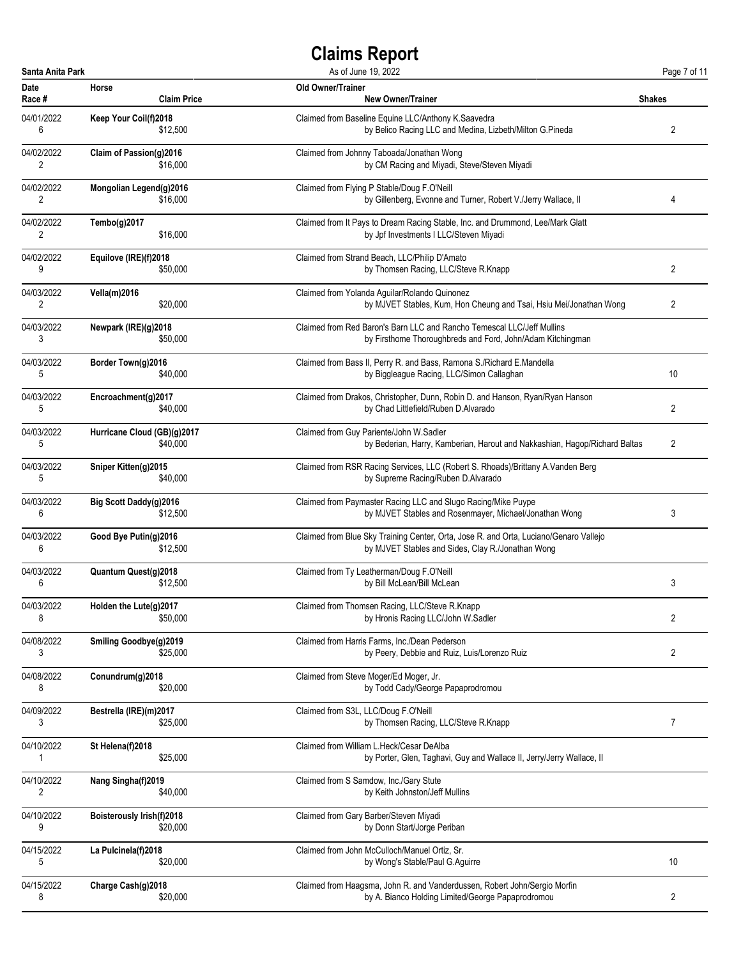| Santa Anita Park             |                                  |                    | As of June 19, 2022                                                                                                                        | Page 7 of 11   |
|------------------------------|----------------------------------|--------------------|--------------------------------------------------------------------------------------------------------------------------------------------|----------------|
| Date<br>Race #               | Horse                            | <b>Claim Price</b> | <b>Old Owner/Trainer</b><br><b>New Owner/Trainer</b>                                                                                       | Shakes         |
| 04/01/2022<br>6              | Keep Your Coil(f)2018            | \$12,500           | Claimed from Baseline Equine LLC/Anthony K.Saavedra<br>by Belico Racing LLC and Medina, Lizbeth/Milton G.Pineda                            | 2              |
| 04/02/2022<br>2              | Claim of Passion(g)2016          | \$16,000           | Claimed from Johnny Taboada/Jonathan Wong<br>by CM Racing and Miyadi, Steve/Steven Miyadi                                                  |                |
| 04/02/2022<br>2              | Mongolian Legend(g)2016          | \$16,000           | Claimed from Flying P Stable/Doug F.O'Neill<br>by Gillenberg, Evonne and Turner, Robert V./Jerry Wallace, II                               | 4              |
| 04/02/2022<br>2              | Tembo(g)2017                     | \$16,000           | Claimed from It Pays to Dream Racing Stable, Inc. and Drummond, Lee/Mark Glatt<br>by Jpf Investments I LLC/Steven Miyadi                   |                |
| 04/02/2022<br>9              | Equilove (IRE)(f)2018            | \$50,000           | Claimed from Strand Beach, LLC/Philip D'Amato<br>by Thomsen Racing, LLC/Steve R.Knapp                                                      | 2              |
| 04/03/2022<br>$\overline{2}$ | <b>Vella(m)2016</b>              | \$20,000           | Claimed from Yolanda Aguilar/Rolando Quinonez<br>by MJVET Stables, Kum, Hon Cheung and Tsai, Hsiu Mei/Jonathan Wong                        | $\overline{2}$ |
| 04/03/2022<br>3              | Newpark (IRE)(g)2018             | \$50,000           | Claimed from Red Baron's Barn LLC and Rancho Temescal LLC/Jeff Mullins<br>by Firsthome Thoroughbreds and Ford, John/Adam Kitchingman       |                |
| 04/03/2022<br>5              | Border Town(g)2016               | \$40,000           | Claimed from Bass II, Perry R. and Bass, Ramona S./Richard E.Mandella<br>by Biggleague Racing, LLC/Simon Callaghan                         | 10             |
| 04/03/2022<br>5              | Encroachment(g)2017              | \$40,000           | Claimed from Drakos, Christopher, Dunn, Robin D. and Hanson, Ryan/Ryan Hanson<br>by Chad Littlefield/Ruben D.Alvarado                      | 2              |
| 04/03/2022<br>5              | Hurricane Cloud (GB)(g)2017      | \$40,000           | Claimed from Guy Pariente/John W.Sadler<br>by Bederian, Harry, Kamberian, Harout and Nakkashian, Hagop/Richard Baltas                      | 2              |
| 04/03/2022<br>5              | Sniper Kitten(g)2015             | \$40,000           | Claimed from RSR Racing Services, LLC (Robert S. Rhoads)/Brittany A. Vanden Berg<br>by Supreme Racing/Ruben D.Alvarado                     |                |
| 04/03/2022<br>6              | Big Scott Daddy(g)2016           | \$12,500           | Claimed from Paymaster Racing LLC and Slugo Racing/Mike Puype<br>by MJVET Stables and Rosenmayer, Michael/Jonathan Wong                    | 3              |
| 04/03/2022<br>6              | Good Bye Putin(g)2016            | \$12,500           | Claimed from Blue Sky Training Center, Orta, Jose R. and Orta, Luciano/Genaro Vallejo<br>by MJVET Stables and Sides, Clay R./Jonathan Wong |                |
| 04/03/2022<br>6              | Quantum Quest(g)2018             | \$12,500           | Claimed from Ty Leatherman/Doug F.O'Neill<br>by Bill McLean/Bill McLean                                                                    | 3              |
| 04/03/2022<br>8              | Holden the Lute $(a)$ 2017       | \$50,000           | Claimed from Thomsen Racing, LLC/Steve R.Knapp<br>by Hronis Racing LLC/John W.Sadler                                                       | $\overline{2}$ |
| 04/08/2022<br>3              | <b>Smiling Goodbye(g)2019</b>    | \$25,000           | Claimed from Harris Farms, Inc./Dean Pederson<br>by Peery, Debbie and Ruiz, Luis/Lorenzo Ruiz                                              | 2              |
| 04/08/2022<br>8              | Conundrum(g)2018                 | \$20,000           | Claimed from Steve Moger/Ed Moger, Jr.<br>by Todd Cady/George Papaprodromou                                                                |                |
| 04/09/2022<br>3              | Bestrella (IRE)(m)2017           | \$25,000           | Claimed from S3L, LLC/Doug F.O'Neill<br>by Thomsen Racing, LLC/Steve R.Knapp                                                               | 7              |
| 04/10/2022<br>1              | St Helena(f)2018                 | \$25,000           | Claimed from William L.Heck/Cesar DeAlba<br>by Porter, Glen, Taghavi, Guy and Wallace II, Jerry/Jerry Wallace, II                          |                |
| 04/10/2022<br>2              | Nang Singha(f)2019               | \$40,000           | Claimed from S Samdow, Inc./Gary Stute<br>by Keith Johnston/Jeff Mullins                                                                   |                |
| 04/10/2022<br>9              | <b>Boisterously Irish(f)2018</b> | \$20,000           | Claimed from Gary Barber/Steven Miyadi<br>by Donn Start/Jorge Periban                                                                      |                |
| 04/15/2022<br>5              | La Pulcinela(f)2018              | \$20,000           | Claimed from John McCulloch/Manuel Ortiz, Sr.<br>by Wong's Stable/Paul G.Aguirre                                                           | 10             |
| 04/15/2022<br>8              | Charge Cash(g)2018               | \$20,000           | Claimed from Haagsma, John R. and Vanderdussen, Robert John/Sergio Morfin<br>by A. Bianco Holding Limited/George Papaprodromou             | 2              |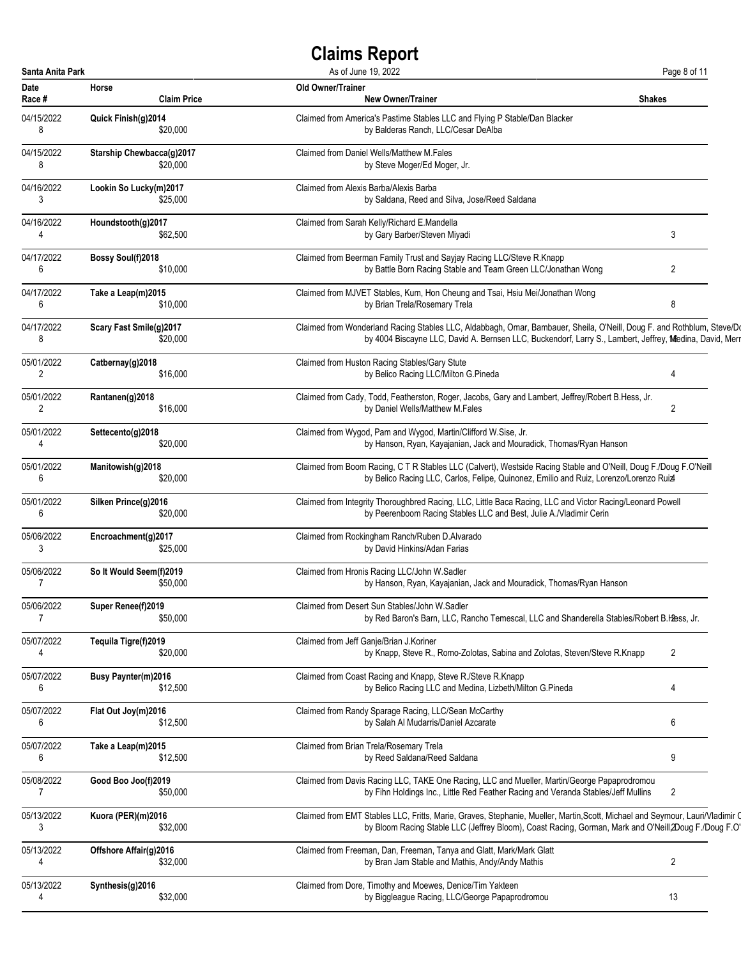| Santa Anita Park |                                | As of June 19, 2022                                                                                                           | Page 8 of 11   |
|------------------|--------------------------------|-------------------------------------------------------------------------------------------------------------------------------|----------------|
| Date             | Horse                          | Old Owner/Trainer                                                                                                             | <b>Shakes</b>  |
| Race #           | <b>Claim Price</b>             | <b>New Owner/Trainer</b>                                                                                                      |                |
| 04/15/2022       | Quick Finish(g)2014            | Claimed from America's Pastime Stables LLC and Flying P Stable/Dan Blacker                                                    |                |
| 8                | \$20,000                       | by Balderas Ranch, LLC/Cesar DeAlba                                                                                           |                |
| 04/15/2022       | Starship Chewbacca(g)2017      | Claimed from Daniel Wells/Matthew M.Fales                                                                                     |                |
| 8                | \$20,000                       | by Steve Moger/Ed Moger, Jr.                                                                                                  |                |
| 04/16/2022       | Lookin So Lucky(m)2017         | Claimed from Alexis Barba/Alexis Barba                                                                                        |                |
| 3                | \$25,000                       | by Saldana, Reed and Silva, Jose/Reed Saldana                                                                                 |                |
| 04/16/2022       | Houndstooth(g)2017<br>\$62,500 | Claimed from Sarah Kelly/Richard E.Mandella<br>by Gary Barber/Steven Miyadi                                                   | 3              |
| 04/17/2022       | Bossy Soul(f)2018              | Claimed from Beerman Family Trust and Sayjay Racing LLC/Steve R.Knapp                                                         | 2              |
| 6                | \$10,000                       | by Battle Born Racing Stable and Team Green LLC/Jonathan Wong                                                                 |                |
| 04/17/2022       | Take a Leap(m)2015             | Claimed from MJVET Stables, Kum, Hon Cheung and Tsai, Hsiu Mei/Jonathan Wong                                                  | 8              |
| 6                | \$10,000                       | by Brian Trela/Rosemary Trela                                                                                                 |                |
| 04/17/2022       | Scary Fast Smile(g)2017        | Claimed from Wonderland Racing Stables LLC, Aldabbagh, Omar, Bambauer, Sheila, O'Neill, Doug F. and Rothblum, Steve/Do        |                |
| 8                | \$20,000                       | by 4004 Biscayne LLC, David A. Bernsen LLC, Buckendorf, Larry S., Lambert, Jeffrey, Medina, David, Merr                       |                |
| 05/01/2022       | Catbernay(g)2018               | Claimed from Huston Racing Stables/Gary Stute                                                                                 | 4              |
| 2                | \$16,000                       | by Belico Racing LLC/Milton G.Pineda                                                                                          |                |
| 05/01/2022       | Rantanen(g)2018                | Claimed from Cady, Todd, Featherston, Roger, Jacobs, Gary and Lambert, Jeffrey/Robert B.Hess, Jr.                             | 2              |
| $\overline{2}$   | \$16,000                       | by Daniel Wells/Matthew M.Fales                                                                                               |                |
| 05/01/2022       | Settecento(g)2018              | Claimed from Wygod, Pam and Wygod, Martin/Clifford W.Sise, Jr.                                                                |                |
| 4                | \$20,000                       | by Hanson, Ryan, Kayajanian, Jack and Mouradick, Thomas/Ryan Hanson                                                           |                |
| 05/01/2022       | Manitowish(g)2018              | Claimed from Boom Racing, C T R Stables LLC (Calvert), Westside Racing Stable and O'Neill, Doug F./Doug F.O'Neill             |                |
| 6                | \$20,000                       | by Belico Racing LLC, Carlos, Felipe, Quinonez, Emilio and Ruiz, Lorenzo/Lorenzo Ruia                                         |                |
| 05/01/2022       | Silken Prince(g)2016           | Claimed from Integrity Thoroughbred Racing, LLC, Little Baca Racing, LLC and Victor Racing/Leonard Powell                     |                |
| 6                | \$20,000                       | by Peerenboom Racing Stables LLC and Best, Julie A./Vladimir Cerin                                                            |                |
| 05/06/2022       | Encroachment(g)2017            | Claimed from Rockingham Ranch/Ruben D.Alvarado                                                                                |                |
| 3                | \$25,000                       | by David Hinkins/Adan Farias                                                                                                  |                |
| 05/06/2022       | So It Would Seem(f)2019        | Claimed from Hronis Racing LLC/John W.Sadler                                                                                  |                |
| $\overline{7}$   | \$50,000                       | by Hanson, Ryan, Kayajanian, Jack and Mouradick, Thomas/Ryan Hanson                                                           |                |
| 05/06/2022       | Super Renee(f)2019             | Claimed from Desert Sun Stables/John W.Sadler                                                                                 |                |
| 7                | \$50,000                       | by Red Baron's Barn, LLC, Rancho Temescal, LLC and Shanderella Stables/Robert B.Hess, Jr.                                     |                |
| 05/07/2022       | Tequila Tigre(f)2019           | Claimed from Jeff Ganje/Brian J.Koriner                                                                                       | 2              |
| 4                | \$20,000                       | by Knapp, Steve R., Romo-Zolotas, Sabina and Zolotas, Steven/Steve R.Knapp                                                    |                |
| 05/07/2022       | <b>Busy Paynter(m)2016</b>     | Claimed from Coast Racing and Knapp, Steve R./Steve R.Knapp                                                                   | 4              |
| 6                | \$12,500                       | by Belico Racing LLC and Medina, Lizbeth/Milton G.Pineda                                                                      |                |
| 05/07/2022       | Flat Out Joy(m)2016            | Claimed from Randy Sparage Racing, LLC/Sean McCarthy                                                                          | 6              |
| 6                | \$12,500                       | by Salah Al Mudarris/Daniel Azcarate                                                                                          |                |
| 05/07/2022       | Take a Leap(m)2015             | Claimed from Brian Trela/Rosemary Trela                                                                                       | 9              |
| 6                | \$12,500                       | by Reed Saldana/Reed Saldana                                                                                                  |                |
| 05/08/2022       | Good Boo Joo(f)2019            | Claimed from Davis Racing LLC, TAKE One Racing, LLC and Mueller, Martin/George Papaprodromou                                  | 2              |
| 7                | \$50,000                       | by Fihn Holdings Inc., Little Red Feather Racing and Veranda Stables/Jeff Mullins                                             |                |
| 05/13/2022       | Kuora (PER)(m)2016             | Claimed from EMT Stables LLC, Fritts, Marie, Graves, Stephanie, Mueller, Martin, Scott, Michael and Seymour, Lauri/Vladimir Q |                |
| 3                | \$32,000                       | by Bloom Racing Stable LLC (Jeffrey Bloom), Coast Racing, Gorman, Mark and O'Neill, 2Doug F./Doug F.O'                        |                |
| 05/13/2022       | Offshore Affair(g)2016         | Claimed from Freeman, Dan, Freeman, Tanya and Glatt, Mark/Mark Glatt                                                          | $\overline{2}$ |
| 4                | \$32,000                       | by Bran Jam Stable and Mathis, Andy/Andy Mathis                                                                               |                |
| 05/13/2022       | Synthesis(g)2016               | Claimed from Dore, Timothy and Moewes, Denice/Tim Yakteen                                                                     | 13             |
| 4                | \$32,000                       | by Biggleague Racing, LLC/George Papaprodromou                                                                                |                |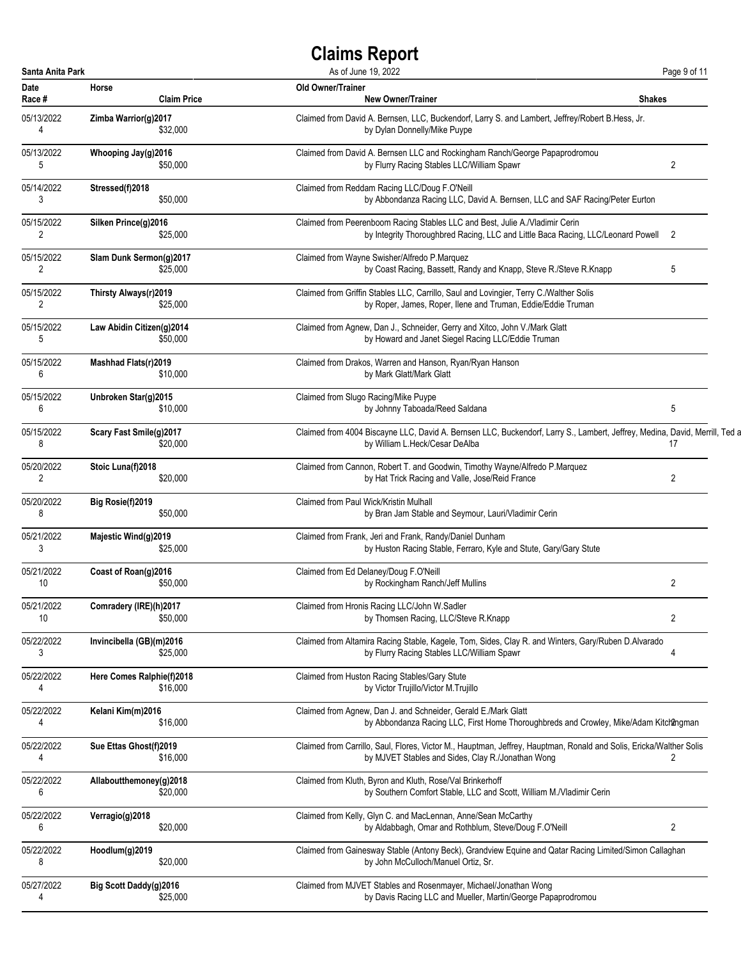| Santa Anita Park |                               | As of June 19, 2022                                                                                                                                     | Page 9 of 11   |
|------------------|-------------------------------|---------------------------------------------------------------------------------------------------------------------------------------------------------|----------------|
| Date<br>Race #   | Horse<br><b>Claim Price</b>   | <b>Old Owner/Trainer</b><br><b>New Owner/Trainer</b><br>Shakes                                                                                          |                |
| 05/13/2022       | Zimba Warrior(g)2017          | Claimed from David A. Bernsen, LLC, Buckendorf, Larry S. and Lambert, Jeffrey/Robert B.Hess, Jr.                                                        |                |
| 4                | \$32,000                      | by Dylan Donnelly/Mike Puype                                                                                                                            |                |
| 05/13/2022       | Whooping Jay(g)2016           | Claimed from David A. Bernsen LLC and Rockingham Ranch/George Papaprodromou                                                                             | 2              |
| 5                | \$50,000                      | by Flurry Racing Stables LLC/William Spawr                                                                                                              |                |
| 05/14/2022       | Stressed(f)2018               | Claimed from Reddam Racing LLC/Doug F.O'Neill                                                                                                           |                |
| 3                | \$50,000                      | by Abbondanza Racing LLC, David A. Bernsen, LLC and SAF Racing/Peter Eurton                                                                             |                |
| 05/15/2022       | Silken Prince(g)2016          | Claimed from Peerenboom Racing Stables LLC and Best, Julie A./Vladimir Cerin                                                                            |                |
| 2                | \$25,000                      | by Integrity Thoroughbred Racing, LLC and Little Baca Racing, LLC/Leonard Powell 2                                                                      |                |
| 05/15/2022       | Slam Dunk Sermon(g)2017       | Claimed from Wayne Swisher/Alfredo P.Marquez                                                                                                            | 5              |
| 2                | \$25,000                      | by Coast Racing, Bassett, Randy and Knapp, Steve R./Steve R.Knapp                                                                                       |                |
| 05/15/2022       | Thirsty Always(r)2019         | Claimed from Griffin Stables LLC, Carrillo, Saul and Lovingier, Terry C./Walther Solis                                                                  |                |
| 2                | \$25,000                      | by Roper, James, Roper, Ilene and Truman, Eddie/Eddie Truman                                                                                            |                |
| 05/15/2022       | Law Abidin Citizen(g)2014     | Claimed from Agnew, Dan J., Schneider, Gerry and Xitco, John V./Mark Glatt                                                                              |                |
| 5                | \$50,000                      | by Howard and Janet Siegel Racing LLC/Eddie Truman                                                                                                      |                |
| 05/15/2022       | Mashhad Flats(r)2019          | Claimed from Drakos, Warren and Hanson, Ryan/Ryan Hanson                                                                                                |                |
| 6                | \$10,000                      | by Mark Glatt/Mark Glatt                                                                                                                                |                |
| 05/15/2022       | Unbroken Star(g)2015          | Claimed from Slugo Racing/Mike Puype                                                                                                                    | 5              |
| 6                | \$10,000                      | by Johnny Taboada/Reed Saldana                                                                                                                          |                |
| 05/15/2022       | Scary Fast Smile(g)2017       | Claimed from 4004 Biscayne LLC, David A. Bernsen LLC, Buckendorf, Larry S., Lambert, Jeffrey, Medina, David, Merrill, Ted a                             | 17             |
| 8                | \$20,000                      | by William L.Heck/Cesar DeAlba                                                                                                                          |                |
| 05/20/2022       | Stoic Luna(f)2018             | Claimed from Cannon, Robert T. and Goodwin, Timothy Wayne/Alfredo P.Marquez                                                                             | 2              |
| 2                | \$20,000                      | by Hat Trick Racing and Valle, Jose/Reid France                                                                                                         |                |
| 05/20/2022       | Big Rosie(f)2019              | Claimed from Paul Wick/Kristin Mulhall                                                                                                                  |                |
| 8                | \$50,000                      | by Bran Jam Stable and Seymour, Lauri/Vladimir Cerin                                                                                                    |                |
| 05/21/2022       | Majestic Wind(g)2019          | Claimed from Frank, Jeri and Frank, Randy/Daniel Dunham                                                                                                 |                |
| 3                | \$25,000                      | by Huston Racing Stable, Ferraro, Kyle and Stute, Gary/Gary Stute                                                                                       |                |
| 05/21/2022       | Coast of Roan(g)2016          | Claimed from Ed Delaney/Doug F.O'Neill                                                                                                                  | $\overline{2}$ |
| 10               | \$50,000                      | by Rockingham Ranch/Jeff Mullins                                                                                                                        |                |
| 05/21/2022       | Comradery (IRE)(h)2017        | Claimed from Hronis Racing LLC/John W.Sadler                                                                                                            | 2              |
| 10               | \$50,000                      | by Thomsen Racing, LLC/Steve R.Knapp                                                                                                                    |                |
| 05/22/2022       | Invincibella (GB)(m)2016      | Claimed from Altamira Racing Stable, Kagele, Tom, Sides, Clay R. and Winters, Gary/Ruben D.Alvarado                                                     | 4              |
| 3                | \$25,000                      | by Flurry Racing Stables LLC/William Spawr                                                                                                              |                |
| 05/22/2022       | Here Comes Ralphie(f)2018     | Claimed from Huston Racing Stables/Gary Stute                                                                                                           |                |
| 4                | \$16,000                      | by Victor Trujillo/Victor M.Trujillo                                                                                                                    |                |
| 05/22/2022       | Kelani Kim(m)2016<br>\$16,000 | Claimed from Agnew, Dan J. and Schneider, Gerald E./Mark Glatt<br>by Abbondanza Racing LLC, First Home Thoroughbreds and Crowley, Mike/Adam Kitchangman |                |
| 05/22/2022       | Sue Ettas Ghost(f)2019        | Claimed from Carrillo, Saul, Flores, Victor M., Hauptman, Jeffrey, Hauptman, Ronald and Solis, Ericka/Walther Solis                                     | 2              |
| 4                | \$16,000                      | by MJVET Stables and Sides, Clay R./Jonathan Wong                                                                                                       |                |
| 05/22/2022       | Allaboutthemoney(g)2018       | Claimed from Kluth, Byron and Kluth, Rose/Val Brinkerhoff                                                                                               |                |
| 6                | \$20,000                      | by Southern Comfort Stable, LLC and Scott, William M./Vladimir Cerin                                                                                    |                |
| 05/22/2022       | Verragio(g)2018               | Claimed from Kelly, Glyn C. and MacLennan, Anne/Sean McCarthy                                                                                           | $\overline{2}$ |
| 6                | \$20,000                      | by Aldabbagh, Omar and Rothblum, Steve/Doug F.O'Neill                                                                                                   |                |
| 05/22/2022       | Hoodlum(g)2019                | Claimed from Gainesway Stable (Antony Beck), Grandview Equine and Qatar Racing Limited/Simon Callaghan                                                  |                |
| 8                | \$20,000                      | by John McCulloch/Manuel Ortiz, Sr.                                                                                                                     |                |
| 05/27/2022       | Big Scott Daddy(g)2016        | Claimed from MJVET Stables and Rosenmayer, Michael/Jonathan Wong                                                                                        |                |
| 4                | \$25,000                      | by Davis Racing LLC and Mueller, Martin/George Papaprodromou                                                                                            |                |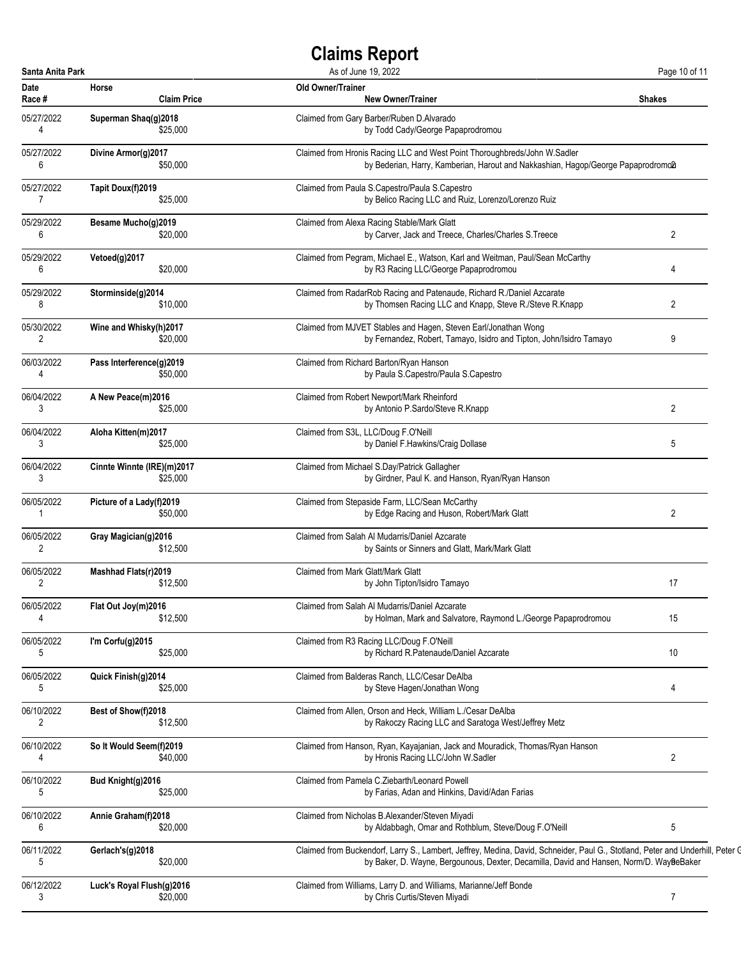| Santa Anita Park |                            | As of June 19, 2022                                                                                                            | Page 10 of 11  |
|------------------|----------------------------|--------------------------------------------------------------------------------------------------------------------------------|----------------|
| Date             | Horse                      | <b>Old Owner/Trainer</b>                                                                                                       | <b>Shakes</b>  |
| Race #           | <b>Claim Price</b>         | <b>New Owner/Trainer</b>                                                                                                       |                |
| 05/27/2022       | Superman Shaq(g)2018       | Claimed from Gary Barber/Ruben D.Alvarado                                                                                      |                |
| 4                | \$25,000                   | by Todd Cady/George Papaprodromou                                                                                              |                |
| 05/27/2022       | Divine Armor(g)2017        | Claimed from Hronis Racing LLC and West Point Thoroughbreds/John W.Sadler                                                      |                |
| 6                | \$50,000                   | by Bederian, Harry, Kamberian, Harout and Nakkashian, Hagop/George Papaprodromo2                                               |                |
| 05/27/2022       | Tapit Doux(f)2019          | Claimed from Paula S.Capestro/Paula S.Capestro                                                                                 |                |
| 7                | \$25,000                   | by Belico Racing LLC and Ruiz, Lorenzo/Lorenzo Ruiz                                                                            |                |
| 05/29/2022       | Besame Mucho(g)2019        | Claimed from Alexa Racing Stable/Mark Glatt                                                                                    | 2              |
| 6                | \$20,000                   | by Carver, Jack and Treece, Charles/Charles S.Treece                                                                           |                |
| 05/29/2022       | Vetoed(g)2017              | Claimed from Pegram, Michael E., Watson, Karl and Weitman, Paul/Sean McCarthy                                                  | 4              |
| 6                | \$20,000                   | by R3 Racing LLC/George Papaprodromou                                                                                          |                |
| 05/29/2022       | Storminside(g)2014         | Claimed from RadarRob Racing and Patenaude, Richard R./Daniel Azcarate                                                         | 2              |
| 8                | \$10,000                   | by Thomsen Racing LLC and Knapp, Steve R./Steve R.Knapp                                                                        |                |
| 05/30/2022       | Wine and Whisky(h)2017     | Claimed from MJVET Stables and Hagen, Steven Earl/Jonathan Wong                                                                | 9              |
| 2                | \$20,000                   | by Fernandez, Robert, Tamayo, Isidro and Tipton, John/Isidro Tamayo                                                            |                |
| 06/03/2022       | Pass Interference(g)2019   | Claimed from Richard Barton/Ryan Hanson                                                                                        |                |
| 4                | \$50,000                   | by Paula S.Capestro/Paula S.Capestro                                                                                           |                |
| 06/04/2022       | A New Peace(m)2016         | Claimed from Robert Newport/Mark Rheinford                                                                                     | $\overline{2}$ |
| 3                | \$25,000                   | by Antonio P.Sardo/Steve R.Knapp                                                                                               |                |
| 06/04/2022       | Aloha Kitten(m)2017        | Claimed from S3L, LLC/Doug F.O'Neill                                                                                           | 5              |
| 3                | \$25,000                   | by Daniel F.Hawkins/Craig Dollase                                                                                              |                |
| 06/04/2022       | Cinnte Winnte (IRE)(m)2017 | Claimed from Michael S.Day/Patrick Gallagher                                                                                   |                |
| 3                | \$25,000                   | by Girdner, Paul K. and Hanson, Ryan/Ryan Hanson                                                                               |                |
| 06/05/2022       | Picture of a Lady(f)2019   | Claimed from Stepaside Farm, LLC/Sean McCarthy                                                                                 | 2              |
| 1                | \$50,000                   | by Edge Racing and Huson, Robert/Mark Glatt                                                                                    |                |
| 06/05/2022       | Gray Magician(g)2016       | Claimed from Salah Al Mudarris/Daniel Azcarate                                                                                 |                |
| 2                | \$12,500                   | by Saints or Sinners and Glatt, Mark/Mark Glatt                                                                                |                |
| 06/05/2022       | Mashhad Flats(r)2019       | Claimed from Mark Glatt/Mark Glatt                                                                                             | 17             |
| 2                | \$12,500                   | by John Tipton/Isidro Tamayo                                                                                                   |                |
| 06/05/2022       | Flat Out Joy(m)2016        | Claimed from Salah Al Mudarris/Daniel Azcarate                                                                                 | 15             |
| 4                | \$12,500                   | by Holman, Mark and Salvatore, Raymond L./George Papaprodromou                                                                 |                |
| 06/05/2022       | I'm Corfu(g)2015           | Claimed from R3 Racing LLC/Doug F.O'Neill                                                                                      | 10             |
| 5                | \$25,000                   | by Richard R. Patenaude/Daniel Azcarate                                                                                        |                |
| 06/05/2022       | Quick Finish(g)2014        | Claimed from Balderas Ranch, LLC/Cesar DeAlba                                                                                  | 4              |
| 5                | \$25,000                   | by Steve Hagen/Jonathan Wong                                                                                                   |                |
| 06/10/2022       | Best of Show(f)2018        | Claimed from Allen, Orson and Heck, William L./Cesar DeAlba                                                                    |                |
| 2                | \$12,500                   | by Rakoczy Racing LLC and Saratoga West/Jeffrey Metz                                                                           |                |
| 06/10/2022       | So It Would Seem(f)2019    | Claimed from Hanson, Ryan, Kayajanian, Jack and Mouradick, Thomas/Ryan Hanson                                                  | $\overline{2}$ |
| 4                | \$40,000                   | by Hronis Racing LLC/John W.Sadler                                                                                             |                |
| 06/10/2022       | Bud Knight(g)2016          | Claimed from Pamela C.Ziebarth/Leonard Powell                                                                                  |                |
| 5                | \$25,000                   | by Farias, Adan and Hinkins, David/Adan Farias                                                                                 |                |
| 06/10/2022       | Annie Graham(f)2018        | Claimed from Nicholas B.Alexander/Steven Miyadi                                                                                | 5              |
| 6                | \$20,000                   | by Aldabbagh, Omar and Rothblum, Steve/Doug F.O'Neill                                                                          |                |
| 06/11/2022       | Gerlach's(g)2018           | Claimed from Buckendorf, Larry S., Lambert, Jeffrey, Medina, David, Schneider, Paul G., Stotland, Peter and Underhill, Peter Q |                |
| 5                | \$20,000                   | by Baker, D. Wayne, Bergounous, Dexter, Decamilla, David and Hansen, Norm/D. WayßeBaker                                        |                |
| 06/12/2022       | Luck's Royal Flush(g)2016  | Claimed from Williams, Larry D. and Williams, Marianne/Jeff Bonde                                                              | $\overline{7}$ |
| 3                | \$20,000                   | by Chris Curtis/Steven Miyadi                                                                                                  |                |